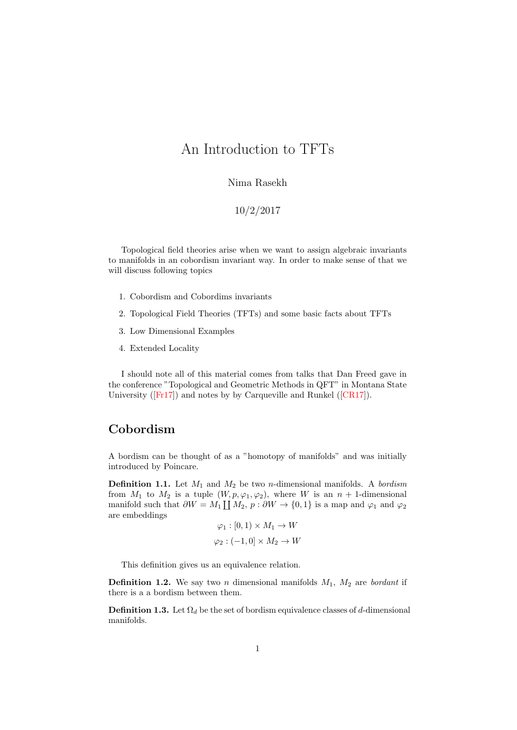# An Introduction to TFTs

#### Nima Rasekh

#### 10/2/2017

Topological field theories arise when we want to assign algebraic invariants to manifolds in an cobordism invariant way. In order to make sense of that we will discuss following topics

- 1. Cobordism and Cobordims invariants
- 2. Topological Field Theories (TFTs) and some basic facts about TFTs
- 3. Low Dimensional Examples
- 4. Extended Locality

I should note all of this material comes from talks that Dan Freed gave in the conference "Topological and Geometric Methods in QFT" in Montana State University ([\[Fr17\]](#page-4-0)) and notes by by Carqueville and Runkel ([\[CR17\]](#page-4-1)).

#### Cobordism

A bordism can be thought of as a "homotopy of manifolds" and was initially introduced by Poincare.

**Definition 1.1.** Let  $M_1$  and  $M_2$  be two *n*-dimensional manifolds. A *bordism* from  $M_1$  to  $M_2$  is a tuple  $(W, p, \varphi_1, \varphi_2)$ , where W is an  $n + 1$ -dimensional manifold such that  $\partial W = M_1 \coprod M_2$ ,  $p : \partial W \to \{0, 1\}$  is a map and  $\varphi_1$  and  $\varphi_2$ are embeddings

$$
\varphi_1 : [0, 1) \times M_1 \to W
$$

$$
\varphi_2 : (-1, 0] \times M_2 \to W
$$

This definition gives us an equivalence relation.

**Definition 1.2.** We say two *n* dimensional manifolds  $M_1$ ,  $M_2$  are *bordant* if there is a a bordism between them.

**Definition 1.3.** Let  $\Omega_d$  be the set of bordism equivalence classes of d-dimensional manifolds.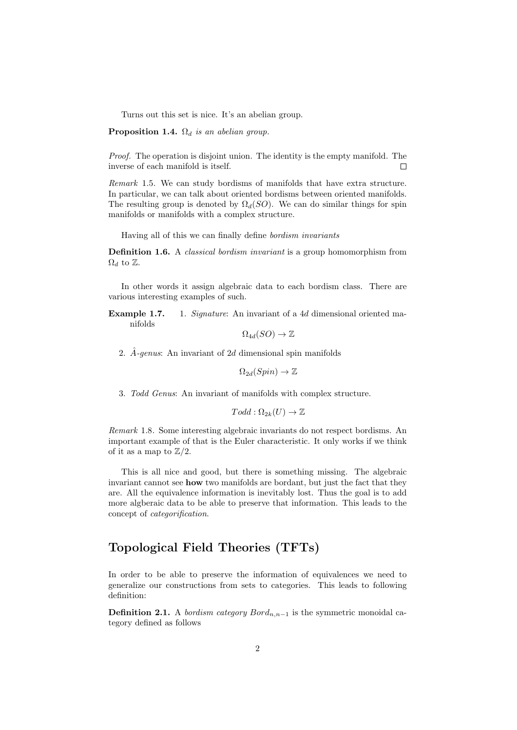Turns out this set is nice. It's an abelian group.

**Proposition 1.4.**  $\Omega_d$  is an abelian group.

Proof. The operation is disjoint union. The identity is the empty manifold. The inverse of each manifold is itself.  $\Box$ 

Remark 1.5. We can study bordisms of manifolds that have extra structure. In particular, we can talk about oriented bordisms between oriented manifolds. The resulting group is denoted by  $\Omega_d(SO)$ . We can do similar things for spin manifolds or manifolds with a complex structure.

Having all of this we can finally define bordism invariants

Definition 1.6. A *classical bordism invariant* is a group homomorphism from  $\Omega_d$  to  $\mathbb{Z}$ .

In other words it assign algebraic data to each bordism class. There are various interesting examples of such.

Example 1.7. 1. Signature: An invariant of a 4d dimensional oriented manifolds

 $\Omega_{4d}(SO) \to \mathbb{Z}$ 

2.  $\hat{A}$ -genus: An invariant of 2d dimensional spin manifolds

 $\Omega_{2d}(Spin) \to \mathbb{Z}$ 

3. Todd Genus: An invariant of manifolds with complex structure.

 $Todd: \Omega_{2k}(U) \to \mathbb{Z}$ 

Remark 1.8. Some interesting algebraic invariants do not respect bordisms. An important example of that is the Euler characteristic. It only works if we think of it as a map to  $\mathbb{Z}/2$ .

This is all nice and good, but there is something missing. The algebraic invariant cannot see how two manifolds are bordant, but just the fact that they are. All the equivalence information is inevitably lost. Thus the goal is to add more algberaic data to be able to preserve that information. This leads to the concept of categorification.

#### Topological Field Theories (TFTs)

In order to be able to preserve the information of equivalences we need to generalize our constructions from sets to categories. This leads to following definition:

**Definition 2.1.** A *bordism category Bord*<sub>n,n-1</sub> is the symmetric monoidal category defined as follows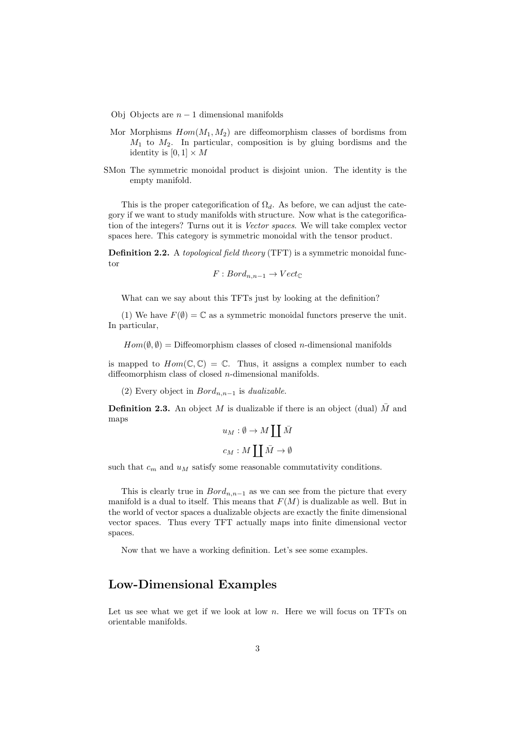- Obj Objects are  $n-1$  dimensional manifolds
- Mor Morphisms  $Hom(M_1, M_2)$  are diffeomorphism classes of bordisms from  $M_1$  to  $M_2$ . In particular, composition is by gluing bordisms and the identity is  $[0, 1] \times M$
- SMon The symmetric monoidal product is disjoint union. The identity is the empty manifold.

This is the proper categorification of  $\Omega_d$ . As before, we can adjust the category if we want to study manifolds with structure. Now what is the categorification of the integers? Turns out it is Vector spaces. We will take complex vector spaces here. This category is symmetric monoidal with the tensor product.

Definition 2.2. A topological field theory (TFT) is a symmetric monoidal functor

$$
F: Bord_{n,n-1} \to Vect_{\mathbb{C}}
$$

What can we say about this TFTs just by looking at the definition?

(1) We have  $F(\emptyset) = \mathbb{C}$  as a symmetric monoidal functors preserve the unit. In particular,

 $Hom(\emptyset, \emptyset) = \text{Diffeomorphism classes of closed } n\text{-dimensional manifolds}$ 

is mapped to  $Hom(\mathbb{C}, \mathbb{C}) = \mathbb{C}$ . Thus, it assigns a complex number to each diffeomorphism class of closed n-dimensional manifolds.

(2) Every object in  $Bord_{n,n-1}$  is *dualizable*.

**Definition 2.3.** An object M is dualizable if there is an object (dual) M and maps

$$
u_M: \emptyset \to Mcopcoprod \bar{M}
$$
  

$$
c_M: Mcopcoprod \bar{M} \to \emptyset
$$

such that  $c_m$  and  $u_M$  satisfy some reasonable commutativity conditions.

This is clearly true in  $Bord_{n,n-1}$  as we can see from the picture that every manifold is a dual to itself. This means that  $F(M)$  is dualizable as well. But in the world of vector spaces a dualizable objects are exactly the finite dimensional vector spaces. Thus every TFT actually maps into finite dimensional vector spaces.

Now that we have a working definition. Let's see some examples.

#### Low-Dimensional Examples

Let us see what we get if we look at low  $n$ . Here we will focus on TFTs on orientable manifolds.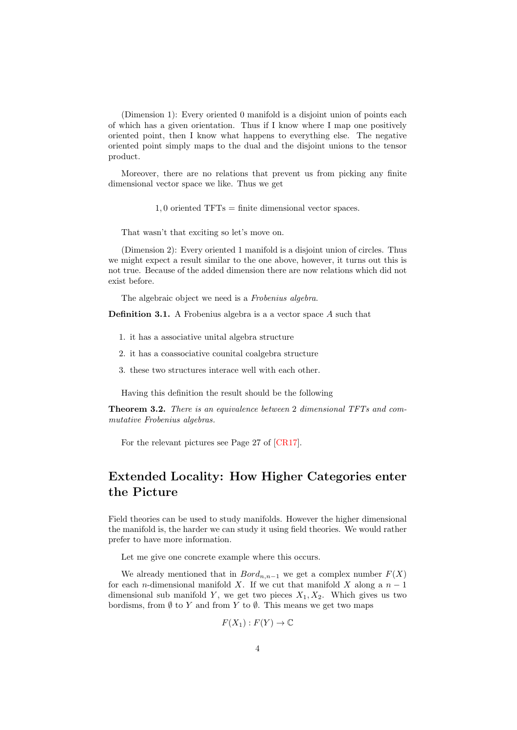(Dimension 1): Every oriented 0 manifold is a disjoint union of points each of which has a given orientation. Thus if I know where I map one positively oriented point, then I know what happens to everything else. The negative oriented point simply maps to the dual and the disjoint unions to the tensor product.

Moreover, there are no relations that prevent us from picking any finite dimensional vector space we like. Thus we get

1, 0 oriented TFTs = finite dimensional vector spaces.

That wasn't that exciting so let's move on.

(Dimension 2): Every oriented 1 manifold is a disjoint union of circles. Thus we might expect a result similar to the one above, however, it turns out this is not true. Because of the added dimension there are now relations which did not exist before.

The algebraic object we need is a Frobenius algebra.

Definition 3.1. A Frobenius algebra is a a vector space A such that

- 1. it has a associative unital algebra structure
- 2. it has a coassociative counital coalgebra structure
- 3. these two structures interace well with each other.

Having this definition the result should be the following

Theorem 3.2. There is an equivalence between 2 dimensional TFTs and commutative Frobenius algebras.

For the relevant pictures see Page 27 of [\[CR17\]](#page-4-1).

## Extended Locality: How Higher Categories enter the Picture

Field theories can be used to study manifolds. However the higher dimensional the manifold is, the harder we can study it using field theories. We would rather prefer to have more information.

Let me give one concrete example where this occurs.

We already mentioned that in  $Bord_{n,n-1}$  we get a complex number  $F(X)$ for each *n*-dimensional manifold X. If we cut that manifold X along a  $n-1$ dimensional sub manifold Y, we get two pieces  $X_1, X_2$ . Which gives us two bordisms, from  $\emptyset$  to Y and from Y to  $\emptyset$ . This means we get two maps

$$
F(X_1): F(Y) \to \mathbb{C}
$$